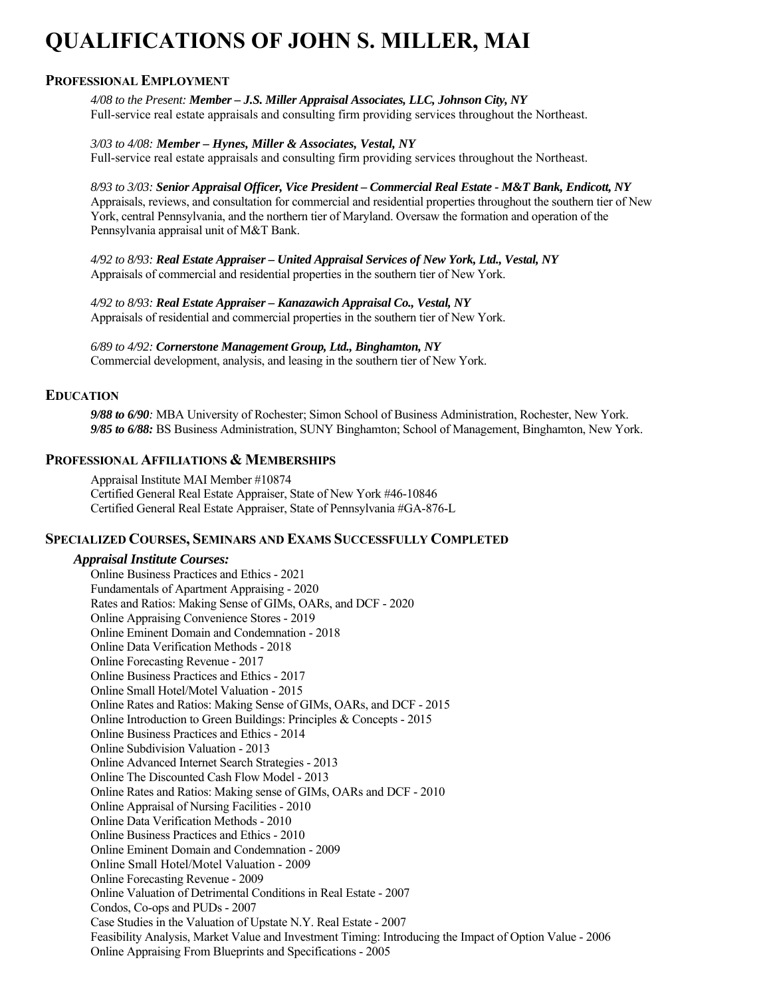# **QUALIFICATIONS OF JOHN S. MILLER, MAI**

#### **PROFESSIONAL EMPLOYMENT**

*4/08 to the Present: Member – J.S. Miller Appraisal Associates, LLC, Johnson City, NY*  Full-service real estate appraisals and consulting firm providing services throughout the Northeast.

*3/03 to 4/08: Member – Hynes, Miller & Associates, Vestal, NY* Full-service real estate appraisals and consulting firm providing services throughout the Northeast.

*8/93 to 3/03: Senior Appraisal Officer, Vice President – Commercial Real Estate - M&T Bank, Endicott, NY* Appraisals, reviews, and consultation for commercial and residential properties throughout the southern tier of New York, central Pennsylvania, and the northern tier of Maryland. Oversaw the formation and operation of the Pennsylvania appraisal unit of M&T Bank.

*4/92 to 8/93: Real Estate Appraiser – United Appraisal Services of New York, Ltd., Vestal, NY*  Appraisals of commercial and residential properties in the southern tier of New York.

*4/92 to 8/93: Real Estate Appraiser – Kanazawich Appraisal Co., Vestal, NY*  Appraisals of residential and commercial properties in the southern tier of New York.

*6/89 to 4/92: Cornerstone Management Group, Ltd., Binghamton, NY* Commercial development, analysis, and leasing in the southern tier of New York.

#### **EDUCATION**

*9/88 to 6/90:* MBA University of Rochester; Simon School of Business Administration, Rochester, New York. *9/85 to 6/88:* BS Business Administration, SUNY Binghamton; School of Management, Binghamton, New York.

#### **PROFESSIONAL AFFILIATIONS & MEMBERSHIPS**

Appraisal Institute MAI Member #10874 Certified General Real Estate Appraiser, State of New York #46-10846 Certified General Real Estate Appraiser, State of Pennsylvania #GA-876-L

#### **SPECIALIZED COURSES, SEMINARS AND EXAMS SUCCESSFULLY COMPLETED**

#### *Appraisal Institute Courses:*

 Online Business Practices and Ethics - 2021 Fundamentals of Apartment Appraising - 2020 Rates and Ratios: Making Sense of GIMs, OARs, and DCF - 2020 Online Appraising Convenience Stores - 2019 Online Eminent Domain and Condemnation - 2018 Online Data Verification Methods - 2018 **Online Forecasting Revenue - 2017**  Online Business Practices and Ethics - 2017 Online Small Hotel/Motel Valuation - 2015 Online Rates and Ratios: Making Sense of GIMs, OARs, and DCF - 2015 Online Introduction to Green Buildings: Principles & Concepts - 2015 Online Business Practices and Ethics - 2014 Online Subdivision Valuation - 2013 Online Advanced Internet Search Strategies - 2013 Online The Discounted Cash Flow Model - 2013 Online Rates and Ratios: Making sense of GIMs, OARs and DCF - 2010 Online Appraisal of Nursing Facilities - 2010 Online Data Verification Methods - 2010 Online Business Practices and Ethics - 2010 Online Eminent Domain and Condemnation - 2009 Online Small Hotel/Motel Valuation - 2009 **Online Forecasting Revenue - 2009** Online Valuation of Detrimental Conditions in Real Estate - 2007 Condos, Co-ops and PUDs - 2007 Case Studies in the Valuation of Upstate N.Y. Real Estate - 2007 Feasibility Analysis, Market Value and Investment Timing: Introducing the Impact of Option Value - 2006 Online Appraising From Blueprints and Specifications - 2005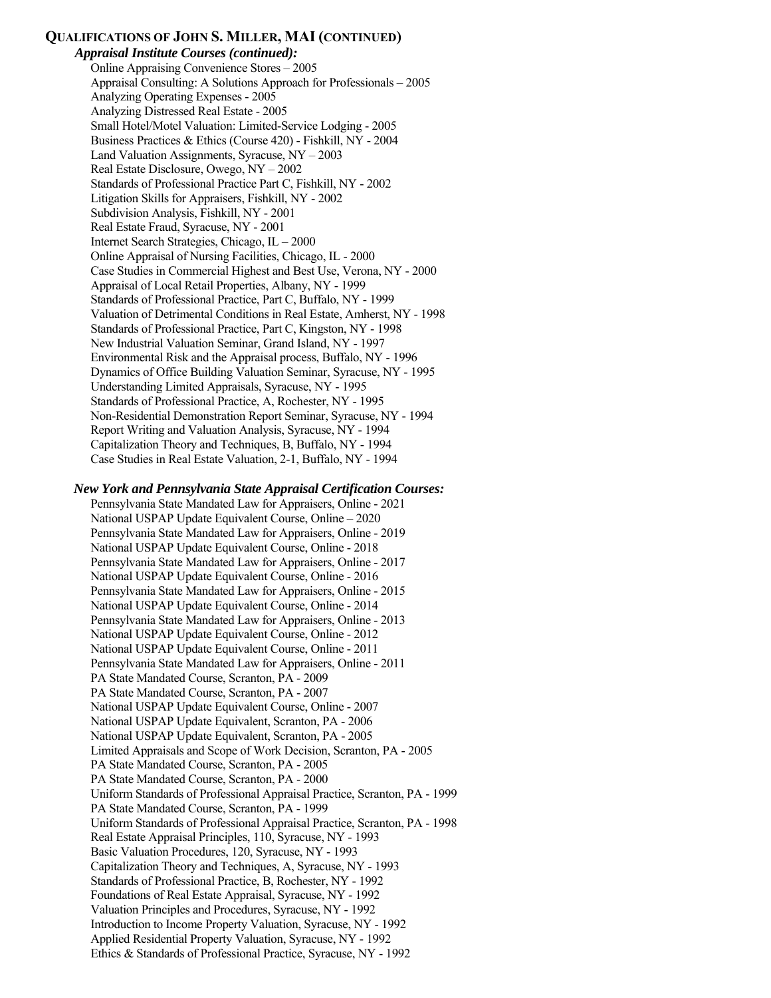#### **QUALIFICATIONS OF JOHN S. MILLER, MAI (CONTINUED)**

 *Appraisal Institute Courses (continued):* Online Appraising Convenience Stores – 2005 Appraisal Consulting: A Solutions Approach for Professionals – 2005 Analyzing Operating Expenses - 2005 Analyzing Distressed Real Estate - 2005 Small Hotel/Motel Valuation: Limited-Service Lodging - 2005 Business Practices & Ethics (Course 420) - Fishkill, NY - 2004 Land Valuation Assignments, Syracuse, NY – 2003 Real Estate Disclosure, Owego, NY – 2002 Standards of Professional Practice Part C, Fishkill, NY - 2002 Litigation Skills for Appraisers, Fishkill, NY - 2002 Subdivision Analysis, Fishkill, NY - 2001 Real Estate Fraud, Syracuse, NY - 2001 Internet Search Strategies, Chicago, IL – 2000 Online Appraisal of Nursing Facilities, Chicago, IL - 2000 Case Studies in Commercial Highest and Best Use, Verona, NY - 2000 Appraisal of Local Retail Properties, Albany, NY - 1999 Standards of Professional Practice, Part C, Buffalo, NY - 1999 Valuation of Detrimental Conditions in Real Estate, Amherst, NY - 1998 Standards of Professional Practice, Part C, Kingston, NY - 1998 New Industrial Valuation Seminar, Grand Island, NY - 1997 Environmental Risk and the Appraisal process, Buffalo, NY - 1996 Dynamics of Office Building Valuation Seminar, Syracuse, NY - 1995 Understanding Limited Appraisals, Syracuse, NY - 1995 Standards of Professional Practice, A, Rochester, NY - 1995 Non-Residential Demonstration Report Seminar, Syracuse, NY - 1994 Report Writing and Valuation Analysis, Syracuse, NY - 1994 Capitalization Theory and Techniques, B, Buffalo, NY - 1994 Case Studies in Real Estate Valuation, 2-1, Buffalo, NY - 1994

 *New York and Pennsylvania State Appraisal Certification Courses:* 

 Pennsylvania State Mandated Law for Appraisers, Online - 2021 National USPAP Update Equivalent Course, Online – 2020 Pennsylvania State Mandated Law for Appraisers, Online - 2019 National USPAP Update Equivalent Course, Online - 2018 Pennsylvania State Mandated Law for Appraisers, Online - 2017 National USPAP Update Equivalent Course, Online - 2016 Pennsylvania State Mandated Law for Appraisers, Online - 2015 National USPAP Update Equivalent Course, Online - 2014 Pennsylvania State Mandated Law for Appraisers, Online - 2013 National USPAP Update Equivalent Course, Online - 2012 National USPAP Update Equivalent Course, Online - 2011 Pennsylvania State Mandated Law for Appraisers, Online - 2011 PA State Mandated Course, Scranton, PA - 2009 PA State Mandated Course, Scranton, PA - 2007 National USPAP Update Equivalent Course, Online - 2007 National USPAP Update Equivalent, Scranton, PA - 2006 National USPAP Update Equivalent, Scranton, PA - 2005 Limited Appraisals and Scope of Work Decision, Scranton, PA - 2005 PA State Mandated Course, Scranton, PA - 2005 PA State Mandated Course, Scranton, PA - 2000 Uniform Standards of Professional Appraisal Practice, Scranton, PA - 1999 PA State Mandated Course, Scranton, PA - 1999 Uniform Standards of Professional Appraisal Practice, Scranton, PA - 1998 Real Estate Appraisal Principles, 110, Syracuse, NY - 1993 Basic Valuation Procedures, 120, Syracuse, NY - 1993 Capitalization Theory and Techniques, A, Syracuse, NY - 1993 Standards of Professional Practice, B, Rochester, NY - 1992 Foundations of Real Estate Appraisal, Syracuse, NY - 1992 Valuation Principles and Procedures, Syracuse, NY - 1992 Introduction to Income Property Valuation, Syracuse, NY - 1992 Applied Residential Property Valuation, Syracuse, NY - 1992 Ethics & Standards of Professional Practice, Syracuse, NY - 1992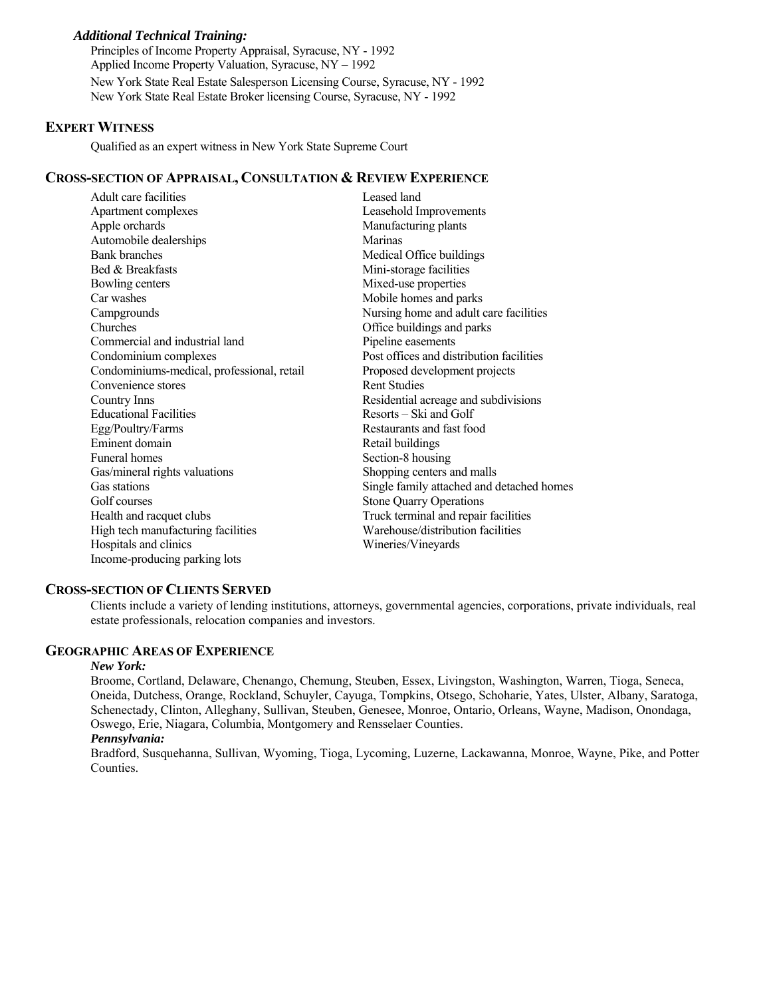#### *Additional Technical Training:*

 Principles of Income Property Appraisal, Syracuse, NY - 1992 Applied Income Property Valuation, Syracuse, NY – 1992 New York State Real Estate Salesperson Licensing Course, Syracuse, NY - 1992 New York State Real Estate Broker licensing Course, Syracuse, NY - 1992

#### **EXPERT WITNESS**

Qualified as an expert witness in New York State Supreme Court

#### **CROSS-SECTION OF APPRAISAL, CONSULTATION & REVIEW EXPERIENCE**

| Leased land                               |
|-------------------------------------------|
| Leasehold Improvements                    |
| Manufacturing plants                      |
| Marinas                                   |
| Medical Office buildings                  |
| Mini-storage facilities                   |
| Mixed-use properties                      |
| Mobile homes and parks                    |
| Nursing home and adult care facilities    |
| Office buildings and parks                |
| Pipeline easements                        |
| Post offices and distribution facilities  |
| Proposed development projects             |
| <b>Rent Studies</b>                       |
| Residential acreage and subdivisions      |
| Resorts – Ski and Golf                    |
| Restaurants and fast food                 |
| Retail buildings                          |
| Section-8 housing                         |
| Shopping centers and malls                |
| Single family attached and detached homes |
| <b>Stone Quarry Operations</b>            |
| Truck terminal and repair facilities      |
| Warehouse/distribution facilities         |
| Wineries/Vineyards                        |
|                                           |
|                                           |

#### **CROSS-SECTION OF CLIENTS SERVED**

Clients include a variety of lending institutions, attorneys, governmental agencies, corporations, private individuals, real estate professionals, relocation companies and investors.

#### **GEOGRAPHIC AREAS OF EXPERIENCE**

#### *New York:*

Broome, Cortland, Delaware, Chenango, Chemung, Steuben, Essex, Livingston, Washington, Warren, Tioga, Seneca, Oneida, Dutchess, Orange, Rockland, Schuyler, Cayuga, Tompkins, Otsego, Schoharie, Yates, Ulster, Albany, Saratoga, Schenectady, Clinton, Alleghany, Sullivan, Steuben, Genesee, Monroe, Ontario, Orleans, Wayne, Madison, Onondaga, Oswego, Erie, Niagara, Columbia, Montgomery and Rensselaer Counties.

#### *Pennsylvania:*

Bradford, Susquehanna, Sullivan, Wyoming, Tioga, Lycoming, Luzerne, Lackawanna, Monroe, Wayne, Pike, and Potter Counties.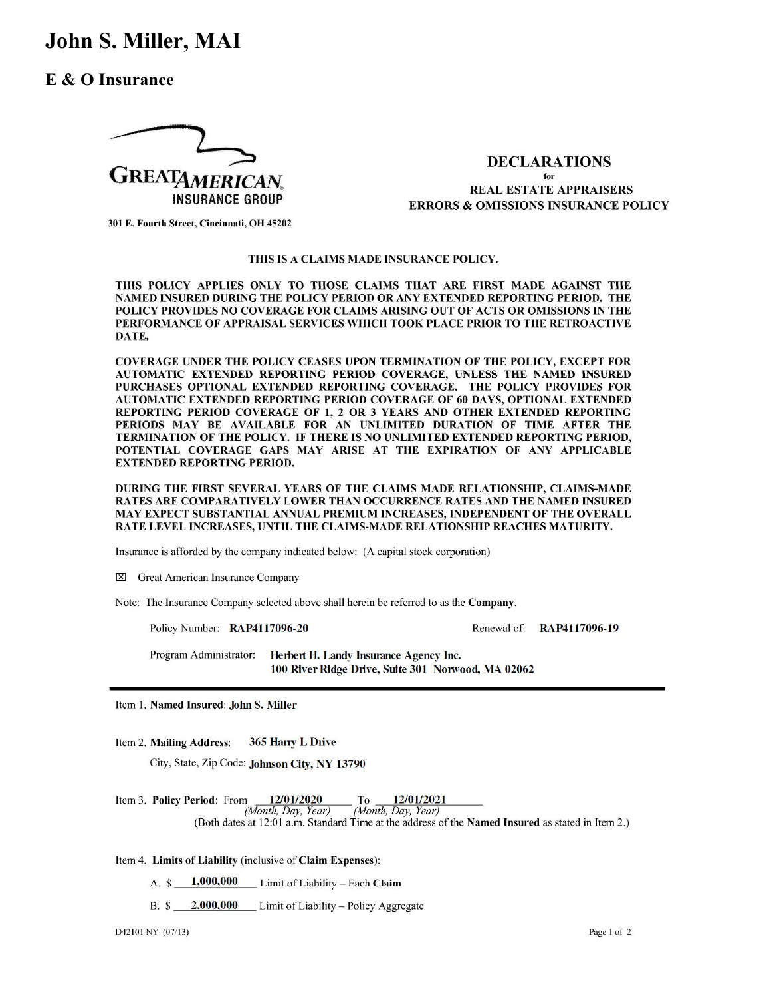## John S. Miller, MAI

### E & O Insurance



#### **DECLARATIONS**

for **REAL ESTATE APPRAISERS ERRORS & OMISSIONS INSURANCE POLICY** 

301 E. Fourth Street, Cincinnati, OH 45202

#### THIS IS A CLAIMS MADE INSURANCE POLICY.

THIS POLICY APPLIES ONLY TO THOSE CLAIMS THAT ARE FIRST MADE AGAINST THE NAMED INSURED DURING THE POLICY PERIOD OR ANY EXTENDED REPORTING PERIOD. THE POLICY PROVIDES NO COVERAGE FOR CLAIMS ARISING OUT OF ACTS OR OMISSIONS IN THE PERFORMANCE OF APPRAISAL SERVICES WHICH TOOK PLACE PRIOR TO THE RETROACTIVE DATE.

COVERAGE UNDER THE POLICY CEASES UPON TERMINATION OF THE POLICY, EXCEPT FOR AUTOMATIC EXTENDED REPORTING PERIOD COVERAGE, UNLESS THE NAMED INSURED PURCHASES OPTIONAL EXTENDED REPORTING COVERAGE. THE POLICY PROVIDES FOR AUTOMATIC EXTENDED REPORTING PERIOD COVERAGE OF 60 DAYS, OPTIONAL EXTENDED REPORTING PERIOD COVERAGE OF 1, 2 OR 3 YEARS AND OTHER EXTENDED REPORTING PERIODS MAY BE AVAILABLE FOR AN UNLIMITED DURATION OF TIME AFTER THE TERMINATION OF THE POLICY. IF THERE IS NO UNLIMITED EXTENDED REPORTING PERIOD, POTENTIAL COVERAGE GAPS MAY ARISE AT THE EXPIRATION OF ANY APPLICABLE **EXTENDED REPORTING PERIOD.** 

DURING THE FIRST SEVERAL YEARS OF THE CLAIMS MADE RELATIONSHIP, CLAIMS-MADE RATES ARE COMPARATIVELY LOWER THAN OCCURRENCE RATES AND THE NAMED INSURED MAY EXPECT SUBSTANTIAL ANNUAL PREMIUM INCREASES, INDEPENDENT OF THE OVERALL RATE LEVEL INCREASES, UNTIL THE CLAIMS-MADE RELATIONSHIP REACHES MATURITY.

Insurance is afforded by the company indicated below: (A capital stock corporation)

**X** Great American Insurance Company

Note: The Insurance Company selected above shall herein be referred to as the Company.

Policy Number: RAP4117096-20

Renewal of: **RAP4117096-19** 

Program Administrator: Herbert H. Landy Insurance Agency Inc. 100 River Ridge Drive, Suite 301 Norwood, MA 02062

Item 1. Named Insured: John S. Miller

Item 2. Mailing Address: 365 Harry L Drive

City, State, Zip Code: Johnson City, NY 13790

12/01/2020 12/01/2021 Item 3. Policy Period: From  $To$ (Month, Day, Year) (Month, Day, Year) (Both dates at 12:01 a.m. Standard Time at the address of the **Named Insured** as stated in Item 2.)

#### Item 4. Limits of Liability (inclusive of Claim Expenses):

1,000,000  $A.$   $\hat{S}$ Limit of Liability - Each Claim

B. \$ 2,000,000 Limit of Liability - Policy Aggregate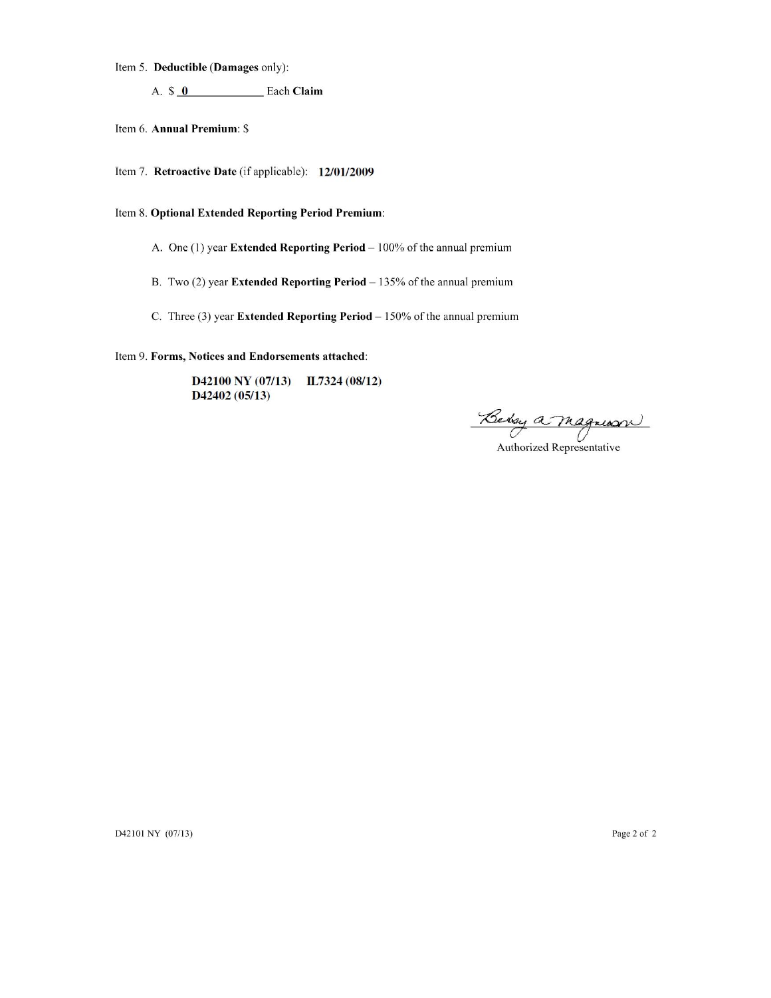Item 5. Deductible (Damages only):

A.  $\sqrt[6]{\mathbf{0}}$  Each Claim

Item 6. Annual Premium: \$

Item 7. Retroactive Date (if applicable): 12/01/2009

Item 8. Optional Extended Reporting Period Premium:

A. One (1) year Extended Reporting Period - 100% of the annual premium

B. Two  $(2)$  year Extended Reporting Period  $-135%$  of the annual premium

C. Three (3) year Extended Reporting Period  $-150\%$  of the annual premium

Item 9. Forms, Notices and Endorsements attached:

D42100 NY (07/13) IL7324 (08/12) D42402 (05/13)

Behry a Magnum